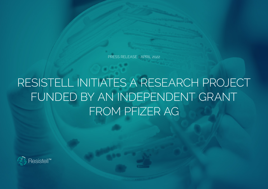PRESS RELEASE - APRIL 2022

## RESISTELL INITIATES A RESEARCH PROJECT FUNDED BY AN INDEPENDENT GRANT FROM PFIZER AG

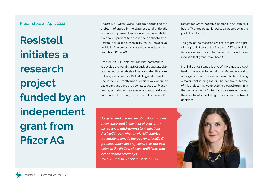**Press release - April 2022**

**Resistell initiates a research project funded by an independent grant from Pfizer AG**

Resistell, a TOP10 Swiss Start-up addressing the problem of speed in the diagnostics of antibiotic resistance, is pleased to announce they have initiated a research project to assess the applicability of Resistell's antibiotic susceptibility test (AST) to a novel antibiotic. The project is funded by an independent grant from Pfizer AG.

Resistell, an EPFL spin-off, was incorporated in 2018 to develop the world's fastest antibiotic susceptibility test based on analysis of nano-scale vibrations of living cells. Resistell's first diagnostic product, Phenotech, currently under clinical validation for bacteremia and sepsis, is a compact and user friendly device, with single use sensors and a cloud-based automated data analysis platform. It provides AST

*"Targeted and precise use of antibiotics is ever more important in the light of constantly increasing multidrug-resistant infections. Resistell's rapid phenotypic AST enables adequate antibiotic therapy for critically ill patients, which not only saves lives but also extends the lifetime of novel antibiotics that are so scarce nowadays."*  says Dr. Danuta Cichocka, Resistell CEO.

results for Gram-negative bacteria in as little as 4 hours. The device achieved 100% accuracy in the pilot clinical study.

The goal of the research project is to provide a preclinical proof of concept of Resistell's AST applicability for a novel antibiotic. The project is funded by an independent grant from Pfizer AG.

Multi-drug resistance is one of the biggest global health challenges today, with insufficient availability of diagnostics and new effective antibiotics playing a major contributing factor. The positive outcome of this project may contribute to a paradigm shift in the management of infectious diseases and open the door to informed, diagnostics based treatment decisions.